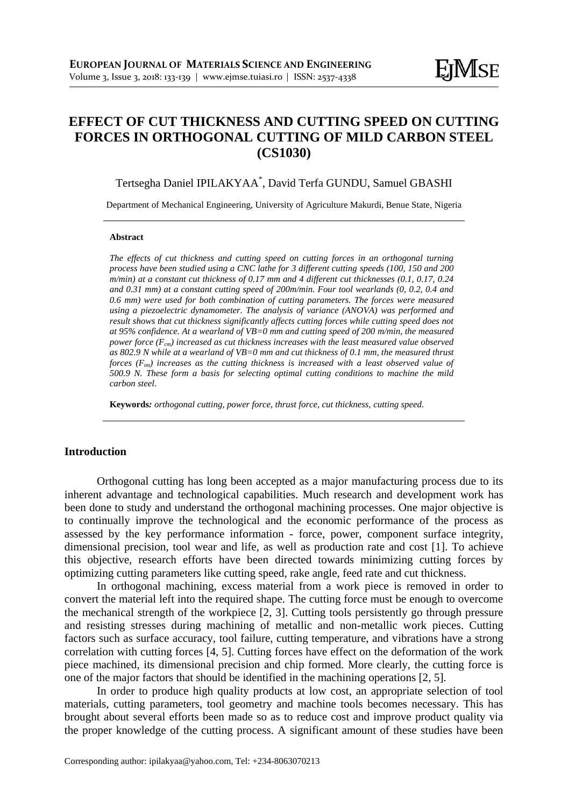# **EFFECT OF CUT THICKNESS AND CUTTING SPEED ON CUTTING FORCES IN ORTHOGONAL CUTTING OF MILD CARBON STEEL (CS1030)**

Tertsegha Daniel IPILAKYAA\* , David Terfa GUNDU, Samuel GBASHI

Department of Mechanical Engineering, University of Agriculture Makurdi, Benue State, Nigeria

#### **Abstract**

*The effects of cut thickness and cutting speed on cutting forces in an orthogonal turning process have been studied using a CNC lathe for 3 different cutting speeds (100, 150 and 200 m/min) at a constant cut thickness of 0.17 mm and 4 different cut thicknesses (0.1, 0.17, 0.24 and 0.31 mm) at a constant cutting speed of 200m/min. Four tool wearlands (0, 0.2, 0.4 and 0.6 mm) were used for both combination of cutting parameters. The forces were measured using a piezoelectric dynamometer. The analysis of variance (ANOVA) was performed and result shows that cut thickness significantly affects cutting forces while cutting speed does not at 95% confidence. At a wearland of VB=0 mm and cutting speed of 200 m/min, the measured power force (Fcm) increased as cut thickness increases with the least measured value observed as 802.9 N while at a wearland of VB=0 mm and cut thickness of 0.1 mm, the measured thrust forces (Ftm) increases as the cutting thickness is increased with a least observed value of 500.9 N. These form a basis for selecting optimal cutting conditions to machine the mild carbon steel.*

**Keywords***: orthogonal cutting, power force, thrust force, cut thickness, cutting speed.*

### **Introduction**

Orthogonal cutting has long been accepted as a major manufacturing process due to its inherent advantage and technological capabilities. Much research and development work has been done to study and understand the orthogonal machining processes. One major objective is to continually improve the technological and the economic performance of the process as assessed by the key performance information - force, power, component surface integrity, dimensional precision, tool wear and life, as well as production rate and cost [1]. To achieve this objective, research efforts have been directed towards minimizing cutting forces by optimizing cutting parameters like cutting speed, rake angle, feed rate and cut thickness.

In orthogonal machining, excess material from a work piece is removed in order to convert the material left into the required shape. The cutting force must be enough to overcome the mechanical strength of the workpiece [2, 3]. Cutting tools persistently go through pressure and resisting stresses during machining of metallic and non-metallic work pieces. Cutting factors such as surface accuracy, tool failure, cutting temperature, and vibrations have a strong correlation with cutting forces [4, 5]. Cutting forces have effect on the deformation of the work piece machined, its dimensional precision and chip formed. More clearly, the cutting force is one of the major factors that should be identified in the machining operations [2, 5].

In order to produce high quality products at low cost, an appropriate selection of tool materials, cutting parameters, tool geometry and machine tools becomes necessary. This has brought about several efforts been made so as to reduce cost and improve product quality via the proper knowledge of the cutting process. A significant amount of these studies have been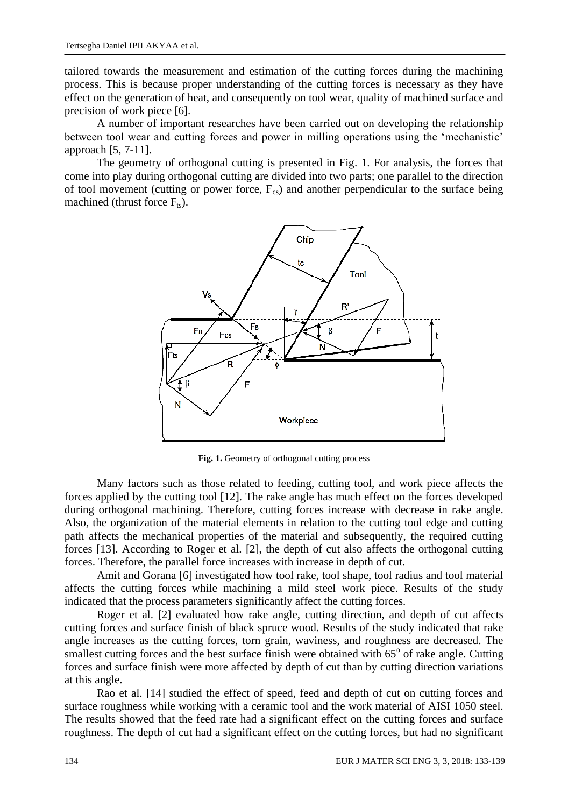tailored towards the measurement and estimation of the cutting forces during the machining process. This is because proper understanding of the cutting forces is necessary as they have effect on the generation of heat, and consequently on tool wear, quality of machined surface and precision of work piece [6].

A number of important researches have been carried out on developing the relationship between tool wear and cutting forces and power in milling operations using the 'mechanistic' approach [5, 7-11].

The geometry of orthogonal cutting is presented in Fig. 1. For analysis, the forces that come into play during orthogonal cutting are divided into two parts; one parallel to the direction of tool movement (cutting or power force,  $F_{cs}$ ) and another perpendicular to the surface being machined (thrust force  $F_{ts}$ ).



**Fig. 1.** Geometry of orthogonal cutting process

Many factors such as those related to feeding, cutting tool, and work piece affects the forces applied by the cutting tool [12]. The rake angle has much effect on the forces developed during orthogonal machining. Therefore, cutting forces increase with decrease in rake angle. Also, the organization of the material elements in relation to the cutting tool edge and cutting path affects the mechanical properties of the material and subsequently, the required cutting forces [13]. According to Roger et al. [2], the depth of cut also affects the orthogonal cutting forces. Therefore, the parallel force increases with increase in depth of cut.

Amit and Gorana [6] investigated how tool rake, tool shape, tool radius and tool material affects the cutting forces while machining a mild steel work piece. Results of the study indicated that the process parameters significantly affect the cutting forces.

Roger et al. [2] evaluated how rake angle, cutting direction, and depth of cut affects cutting forces and surface finish of black spruce wood. Results of the study indicated that rake angle increases as the cutting forces, torn grain, waviness, and roughness are decreased. The smallest cutting forces and the best surface finish were obtained with  $65^{\circ}$  of rake angle. Cutting forces and surface finish were more affected by depth of cut than by cutting direction variations at this angle.

Rao et al. [14] studied the effect of speed, feed and depth of cut on cutting forces and surface roughness while working with a ceramic tool and the work material of AISI 1050 steel. The results showed that the feed rate had a significant effect on the cutting forces and surface roughness. The depth of cut had a significant effect on the cutting forces, but had no significant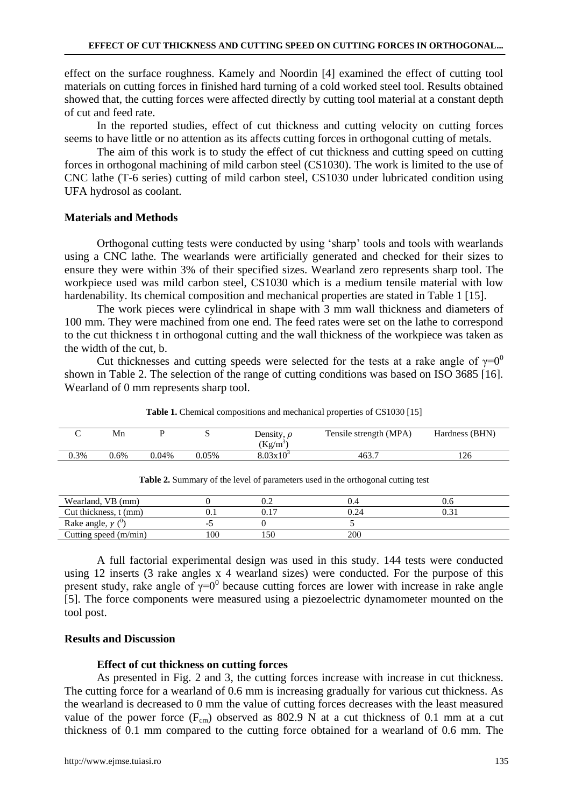effect on the surface roughness. Kamely and Noordin [4] examined the effect of cutting tool materials on cutting forces in finished hard turning of a cold worked steel tool. Results obtained showed that, the cutting forces were affected directly by cutting tool material at a constant depth of cut and feed rate.

In the reported studies, effect of cut thickness and cutting velocity on cutting forces seems to have little or no attention as its affects cutting forces in orthogonal cutting of metals.

The aim of this work is to study the effect of cut thickness and cutting speed on cutting forces in orthogonal machining of mild carbon steel (CS1030). The work is limited to the use of CNC lathe (T-6 series) cutting of mild carbon steel, CS1030 under lubricated condition using UFA hydrosol as coolant.

#### **Materials and Methods**

Orthogonal cutting tests were conducted by using 'sharp' tools and tools with wearlands using a CNC lathe. The wearlands were artificially generated and checked for their sizes to ensure they were within 3% of their specified sizes. Wearland zero represents sharp tool. The workpiece used was mild carbon steel, CS1030 which is a medium tensile material with low hardenability. Its chemical composition and mechanical properties are stated in Table 1 [15].

The work pieces were cylindrical in shape with 3 mm wall thickness and diameters of 100 mm. They were machined from one end. The feed rates were set on the lathe to correspond to the cut thickness t in orthogonal cutting and the wall thickness of the workpiece was taken as the width of the cut, b.

Cut thicknesses and cutting speeds were selected for the tests at a rake angle of  $\gamma=0^0$ shown in Table 2. The selection of the range of cutting conditions was based on ISO 3685 [16]. Wearland of 0 mm represents sharp tool.

|      | Mn   |       |       | Density, $\rho$<br>$(Kg/m^3)$ | Tensile strength (MPA) | Hardness (BHN) |
|------|------|-------|-------|-------------------------------|------------------------|----------------|
| 0.3% | 0.6% | 0.04% | 0.05% | $8.03x10^{3}$                 | 463.7                  | 126            |

Table 1. Chemical compositions and mechanical properties of CS1030 [15]

| Wearland, VB (mm)     |     |              | 0.4 |     |
|-----------------------|-----|--------------|-----|-----|
|                       |     | v.∠          |     | v.u |
| Cut thickness, t (mm) | v.  | ገ 1 7<br>V.I |     |     |
| Rake angle, $\gamma$  |     |              |     |     |
| Cutting speed (m/min) | 100 | 150          | 200 |     |

**Table 2.** Summary of the level of parameters used in the orthogonal cutting test

A full factorial experimental design was used in this study. 144 tests were conducted using 12 inserts (3 rake angles x 4 wearland sizes) were conducted. For the purpose of this present study, rake angle of  $\gamma=0$ <sup>0</sup> because cutting forces are lower with increase in rake angle [5]. The force components were measured using a piezoelectric dynamometer mounted on the tool post.

## **Results and Discussion**

#### **Effect of cut thickness on cutting forces**

As presented in Fig. 2 and 3, the cutting forces increase with increase in cut thickness. The cutting force for a wearland of 0.6 mm is increasing gradually for various cut thickness. As the wearland is decreased to 0 mm the value of cutting forces decreases with the least measured value of the power force  $(F_{cm})$  observed as 802.9 N at a cut thickness of 0.1 mm at a cut thickness of 0.1 mm compared to the cutting force obtained for a wearland of 0.6 mm. The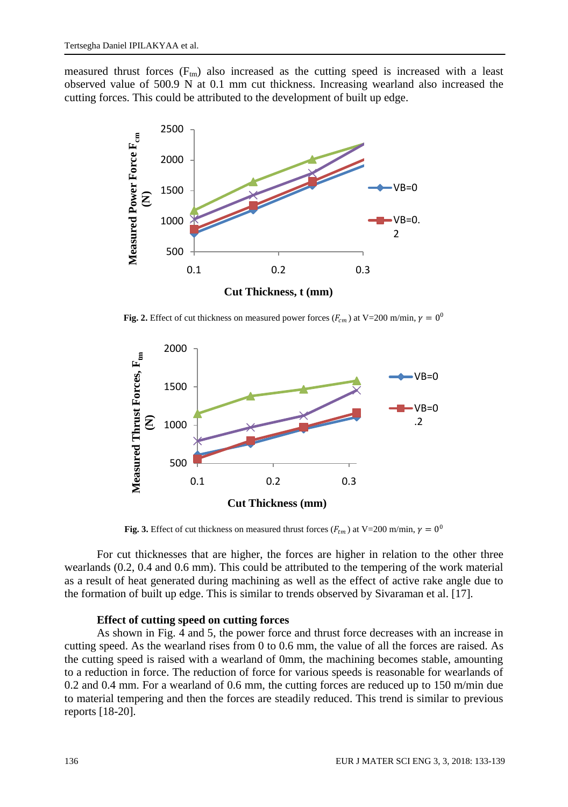measured thrust forces  $(F_m)$  also increased as the cutting speed is increased with a least observed value of 500.9 N at 0.1 mm cut thickness. Increasing wearland also increased the cutting forces. This could be attributed to the development of built up edge.



**Fig. 2.** Effect of cut thickness on measured power forces  $(F_{cm})$  at V=200 m/min,  $\gamma = 0^0$ 



**Fig. 3.** Effect of cut thickness on measured thrust forces  $(F_{tm})$  at V=200 m/min,  $\gamma = 0^0$ 

For cut thicknesses that are higher, the forces are higher in relation to the other three wearlands (0.2, 0.4 and 0.6 mm). This could be attributed to the tempering of the work material as a result of heat generated during machining as well as the effect of active rake angle due to the formation of built up edge. This is similar to trends observed by Sivaraman et al. [17].

#### **Effect of cutting speed on cutting forces**

As shown in Fig. 4 and 5, the power force and thrust force decreases with an increase in cutting speed. As the wearland rises from 0 to 0.6 mm, the value of all the forces are raised. As the cutting speed is raised with a wearland of 0mm, the machining becomes stable, amounting to a reduction in force. The reduction of force for various speeds is reasonable for wearlands of 0.2 and 0.4 mm. For a wearland of 0.6 mm, the cutting forces are reduced up to 150 m/min due to material tempering and then the forces are steadily reduced. This trend is similar to previous reports [18-20].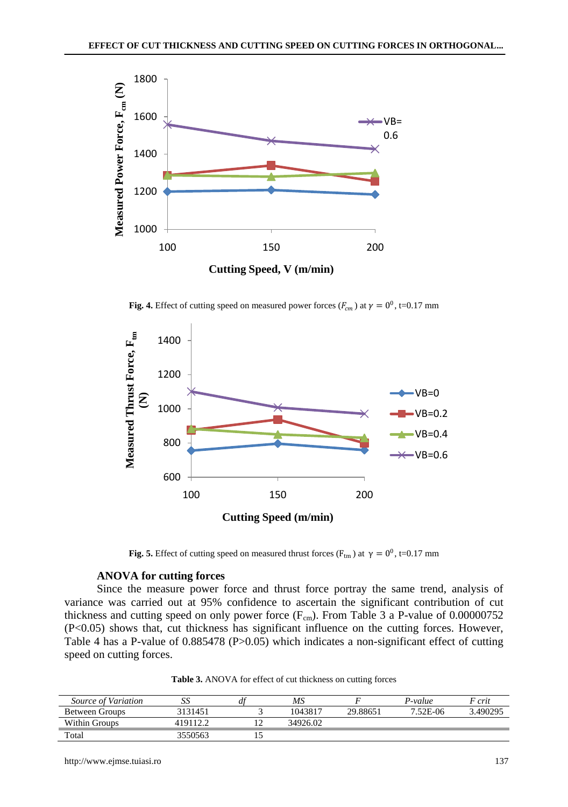

**Fig. 4.** Effect of cutting speed on measured power forces ( $F_{cm}$ ) at  $\gamma = 0^0$ , t=0.17 mm



**Fig. 5.** Effect of cutting speed on measured thrust forces ( $F_{tm}$ ) at  $\gamma = 0^0$ , t=0.17 mm

#### **ANOVA for cutting forces**

Since the measure power force and thrust force portray the same trend, analysis of variance was carried out at 95% confidence to ascertain the significant contribution of cut thickness and cutting speed on only power force  $(F_{cm})$ . From Table 3 a P-value of 0.00000752 (P<0.05) shows that, cut thickness has significant influence on the cutting forces. However, Table 4 has a P-value of 0.885478 (P>0.05) which indicates a non-significant effect of cutting speed on cutting forces.

| <b>Table 3.</b> ANOVA for effect of cut thickness on cutting forces |  |  |
|---------------------------------------------------------------------|--|--|
|---------------------------------------------------------------------|--|--|

| Source of Variation   | د د               | df | MS       |          | P-value  | $F$ crit |
|-----------------------|-------------------|----|----------|----------|----------|----------|
| <b>Between Groups</b> | 3131451           |    | 1043817  | 29.88651 | 7.52E-06 | 3.490295 |
| <b>Within Groups</b>  | $419112.^{\circ}$ |    | 34926.02 |          |          |          |
| Total                 | 3550563           |    |          |          |          |          |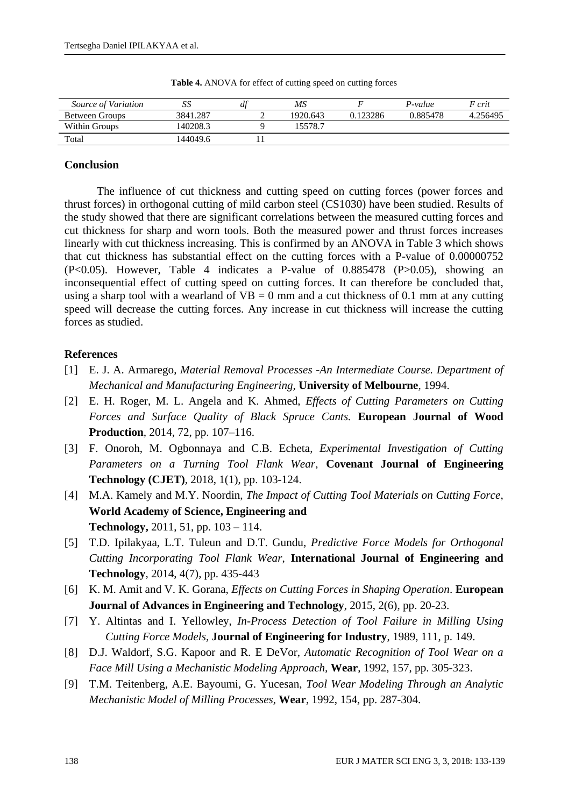| Source of Variation   | ມມ       | a | ΜS       |          | P-value  | F crit   |
|-----------------------|----------|---|----------|----------|----------|----------|
| <b>Between Groups</b> | 3841.287 |   | 1920.643 | 0.123286 | 0.885478 | 4.256495 |
| Within Groups         | 140208.3 |   | 15578.7  |          |          |          |
| Total                 | 144049.6 |   |          |          |          |          |

**Table 4.** ANOVA for effect of cutting speed on cutting forces

### **Conclusion**

The influence of cut thickness and cutting speed on cutting forces (power forces and thrust forces) in orthogonal cutting of mild carbon steel (CS1030) have been studied. Results of the study showed that there are significant correlations between the measured cutting forces and cut thickness for sharp and worn tools. Both the measured power and thrust forces increases linearly with cut thickness increasing. This is confirmed by an ANOVA in Table 3 which shows that cut thickness has substantial effect on the cutting forces with a P-value of 0.00000752 (P<0.05). However, Table 4 indicates a P-value of 0.885478 (P>0.05), showing an inconsequential effect of cutting speed on cutting forces. It can therefore be concluded that, using a sharp tool with a wearland of  $VB = 0$  mm and a cut thickness of 0.1 mm at any cutting speed will decrease the cutting forces. Any increase in cut thickness will increase the cutting forces as studied.

#### **References**

- [1] E. J. A. Armarego, *Material Removal Processes -An Intermediate Course. Department of Mechanical and Manufacturing Engineering,* **University of Melbourne**, 1994.
- [2] E. H. Roger, M. L. Angela and K. Ahmed, *Effects of Cutting Parameters on Cutting Forces and Surface Quality of Black Spruce Cants.* **European Journal of Wood Production***,* 2014, 72, pp. 107–116.
- [3] F. Onoroh, M. Ogbonnaya and C.B. Echeta, *Experimental Investigation of Cutting Parameters on a Turning Tool Flank Wear*, **Covenant Journal of Engineering Technology (CJET)***,* 2018, 1(1), pp. 103-124.
- [4] M.A. Kamely and M.Y. Noordin, *The Impact of Cutting Tool Materials on Cutting Force*, **World Academy of Science, Engineering and Technology,** 2011, 51, pp. 103 – 114.
- [5] T.D. Ipilakyaa, L.T. Tuleun and D.T. Gundu, *Predictive Force Models for Orthogonal Cutting Incorporating Tool Flank Wear*, **International Journal of Engineering and Technology***,* 2014, 4(7), pp. 435-443
- [6] K. M. Amit and V. K. Gorana, *Effects on Cutting Forces in Shaping Operation*. **European Journal of Advances in Engineering and Technology***,* 2015, 2(6), pp. 20-23.
- [7] Y. Altintas and I. Yellowley, *In-Process Detection of Tool Failure in Milling Using Cutting Force Models,* **Journal of Engineering for Industry**, 1989, 111, p. 149.
- [8] D.J. Waldorf, S.G. Kapoor and R. E DeVor, *Automatic Recognition of Tool Wear on a Face Mill Using a Mechanistic Modeling Approach,* **Wear**, 1992, 157, pp. 305-323.
- [9] T.M. Teitenberg, A.E. Bayoumi, G. Yucesan, *Tool Wear Modeling Through an Analytic Mechanistic Model of Milling Processes,* **Wear**, 1992, 154, pp. 287-304.